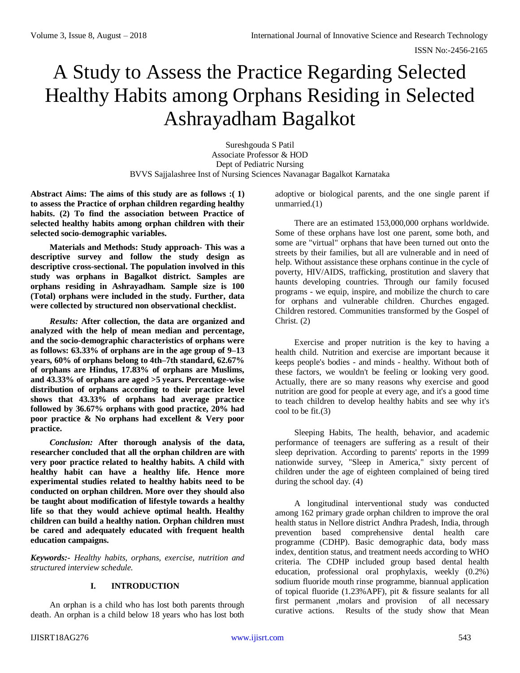# A Study to Assess the Practice Regarding Selected Healthy Habits among Orphans Residing in Selected Ashrayadham Bagalkot

Sureshgouda S Patil Associate Professor & HOD Dept of Pediatric Nursing BVVS Sajjalashree Inst of Nursing Sciences Navanagar Bagalkot Karnataka

**Abstract Aims: The aims of this study are as follows :( 1) to assess the Practice of orphan children regarding healthy habits. (2) To find the association between Practice of selected healthy habits among orphan children with their selected socio-demographic variables.** 

**Materials and Methods: Study approach- This was a descriptive survey and follow the study design as descriptive cross-sectional. The population involved in this study was orphans in Bagalkot district. Samples are orphans residing in Ashrayadham. Sample size is 100 (Total) orphans were included in the study. Further, data were collected by structured non observational checklist.**

*Results:* **After collection, the data are organized and analyzed with the help of mean median and percentage, and the socio-demographic characteristics of orphans were as follows: 63.33% of orphans are in the age group of 9–13 years, 60% of orphans belong to 4th–7th standard, 62.67% of orphans are Hindus, 17.83% of orphans are Muslims, and 43.33% of orphans are aged >5 years. Percentage-wise distribution of orphans according to their practice level shows that 43.33% of orphans had average practice followed by 36.67% orphans with good practice, 20% had poor practice & No orphans had excellent & Very poor practice.**

*Conclusion:* **After thorough analysis of the data, researcher concluded that all the orphan children are with very poor practice related to healthy habits. A child with healthy habit can have a healthy life. Hence more experimental studies related to healthy habits need to be conducted on orphan children. More over they should also be taught about modification of lifestyle towards a healthy life so that they would achieve optimal health. Healthy children can build a healthy nation. Orphan children must be cared and adequately educated with frequent health education campaigns.** 

*Keywords:- Healthy habits, orphans, exercise, nutrition and structured interview schedule.*

# **I. INTRODUCTION**

An orphan is a child who has lost both parents through death. An orphan is a child below 18 years who has lost both adoptive or biological parents, and the one single parent if unmarried.(1)

There are an estimated 153,000,000 orphans worldwide. Some of these orphans have lost one parent, some both, and some are "virtual" orphans that have been turned out onto the streets by their families, but all are vulnerable and in need of help. Without assistance these orphans continue in the cycle of poverty, HIV/AIDS, trafficking, prostitution and slavery that haunts developing countries. Through our family focused programs - we equip, inspire, and mobilize the church to care for orphans and vulnerable children. Churches engaged. Children restored. Communities transformed by the Gospel of Christ. (2)

Exercise and proper nutrition is the key to having a health child. Nutrition and exercise are important because it keeps people's bodies - and minds - healthy. Without both of these factors, we wouldn't be feeling or looking very good. Actually, there are so many reasons why exercise and good nutrition are good for people at every age, and it's a good time to teach children to develop healthy habits and see why it's cool to be fit.(3)

Sleeping Habits, The health, behavior, and academic performance of teenagers are suffering as a result of their sleep deprivation. According to parents' reports in the 1999 nationwide survey, "Sleep in America," sixty percent of children under the age of eighteen complained of being tired during the school day. (4)

A longitudinal interventional study was conducted among 162 primary grade orphan children to improve the oral health status in Nellore district Andhra Pradesh, India, through prevention based comprehensive dental health care programme (CDHP). Basic demographic data, body mass index, dentition status, and treatment needs according to WHO criteria. The CDHP included group based dental health education, professional oral prophylaxis, weekly (0.2%) sodium fluoride mouth rinse programme, biannual application of topical fluoride (1.23%APF), pit & fissure sealants for all first permanent ,molars and provision of all necessary curative actions. Results of the study show that Mean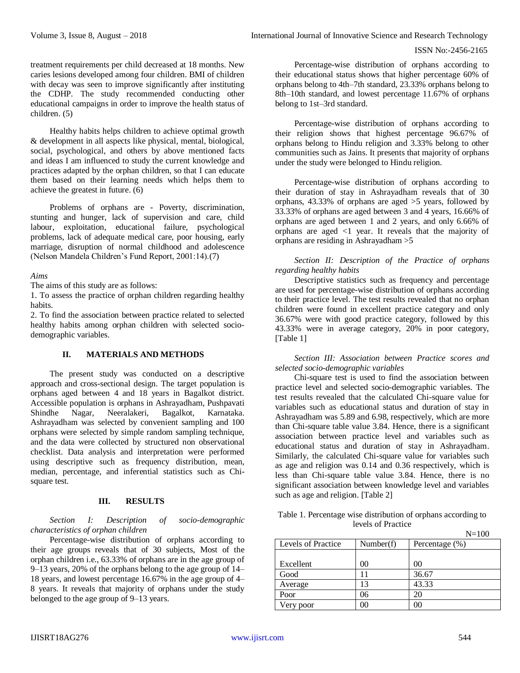treatment requirements per child decreased at 18 months. New caries lesions developed among four children. BMI of children with decay was seen to improve significantly after instituting the CDHP. The study recommended conducting other educational campaigns in order to improve the health status of children. (5)

Healthy habits helps children to achieve optimal growth & development in all aspects like physical, mental, biological, social, psychological, and others by above mentioned facts and ideas I am influenced to study the current knowledge and practices adapted by the orphan children, so that I can educate them based on their learning needs which helps them to achieve the greatest in future. (6)

Problems of orphans are - Poverty, discrimination, stunting and hunger, lack of supervision and care, child labour, exploitation, educational failure, psychological problems, lack of adequate medical care, poor housing, early marriage, disruption of normal childhood and adolescence (Nelson Mandela Children's Fund Report, 2001:14).(7)

# *Aims*

The aims of this study are as follows:

1. To assess the practice of orphan children regarding healthy habits.

2. To find the association between practice related to selected healthy habits among orphan children with selected sociodemographic variables.

# **II. MATERIALS AND METHODS**

The present study was conducted on a descriptive approach and cross-sectional design. The target population is orphans aged between 4 and 18 years in Bagalkot district. Accessible population is orphans in Ashrayadham, Pushpavati Shindhe Nagar, Neeralakeri, Bagalkot, Karnataka. Ashrayadham was selected by convenient sampling and 100 orphans were selected by simple random sampling technique, and the data were collected by structured non observational checklist. Data analysis and interpretation were performed using descriptive such as frequency distribution, mean, median, percentage, and inferential statistics such as Chisquare test.

# **III. RESULTS**

*Section I: Description of socio-demographic characteristics of orphan children* 

Percentage-wise distribution of orphans according to their age groups reveals that of 30 subjects, Most of the orphan children i.e., 63.33% of orphans are in the age group of 9–13 years, 20% of the orphans belong to the age group of 14– 18 years, and lowest percentage 16.67% in the age group of 4– 8 years. It reveals that majority of orphans under the study belonged to the age group of 9–13 years.

Percentage-wise distribution of orphans according to their educational status shows that higher percentage 60% of orphans belong to 4th–7th standard, 23.33% orphans belong to 8th–10th standard, and lowest percentage 11.67% of orphans belong to 1st–3rd standard.

Percentage-wise distribution of orphans according to their religion shows that highest percentage 96.67% of orphans belong to Hindu religion and 3.33% belong to other communities such as Jains. It presents that majority of orphans under the study were belonged to Hindu religion.

Percentage-wise distribution of orphans according to their duration of stay in Ashrayadham reveals that of 30 orphans, 43.33% of orphans are aged >5 years, followed by 33.33% of orphans are aged between 3 and 4 years, 16.66% of orphans are aged between 1 and 2 years, and only 6.66% of orphans are aged <1 year. It reveals that the majority of orphans are residing in Ashrayadham >5

*Section II: Description of the Practice of orphans regarding healthy habits* 

Descriptive statistics such as frequency and percentage are used for percentage-wise distribution of orphans according to their practice level. The test results revealed that no orphan children were found in excellent practice category and only 36.67% were with good practice category, followed by this 43.33% were in average category, 20% in poor category, [Table 1]

*Section III: Association between Practice scores and selected socio-demographic variables* 

Chi-square test is used to find the association between practice level and selected socio-demographic variables. The test results revealed that the calculated Chi-square value for variables such as educational status and duration of stay in Ashrayadham was 5.89 and 6.98, respectively, which are more than Chi-square table value 3.84. Hence, there is a significant association between practice level and variables such as educational status and duration of stay in Ashrayadham. Similarly, the calculated Chi-square value for variables such as age and religion was 0.14 and 0.36 respectively, which is less than Chi-square table value 3.84. Hence, there is no significant association between knowledge level and variables such as age and religion. [Table 2]

| Table 1. Percentage wise distribution of orphans according to |                  |
|---------------------------------------------------------------|------------------|
| levels of Practice                                            |                  |
|                                                               | $\mathbf{M}$ 100 |

|                    |           | $N=100$        |
|--------------------|-----------|----------------|
| Levels of Practice | Number(f) | Percentage (%) |
|                    |           |                |
| Excellent          | 00        | 00             |
| Good               |           | 36.67          |
| Average            | 13        | 43.33          |
| Poor               | 06        | 20             |
| Very poor          | 00        |                |
|                    |           |                |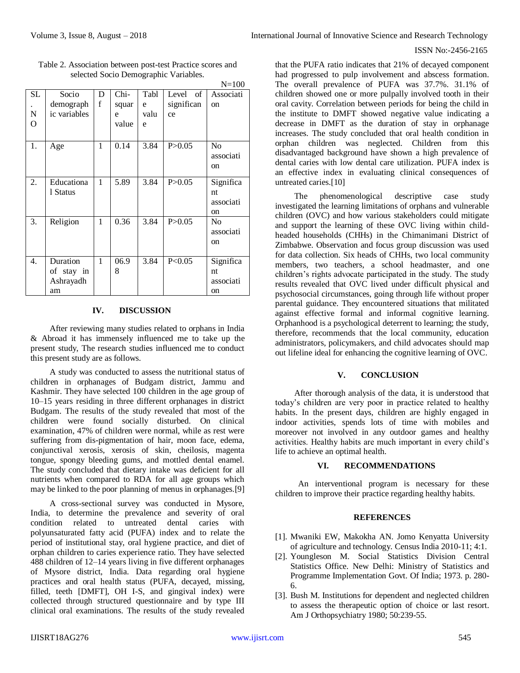#### ISSN No:-2456-2165

|     |              |   |        |      |            | $N = 100$      |
|-----|--------------|---|--------|------|------------|----------------|
| SL. | Socio        | D | $Chi-$ | Tabl | Level of   | Associati      |
|     | demograph    | f | squar  | e    | significan | on             |
| N   | ic variables |   | e      | valu | ce         |                |
| O   |              |   | value  | e    |            |                |
|     |              |   |        |      |            |                |
| 1.  | Age          | 1 | 0.14   | 3.84 | P > 0.05   | N <sub>0</sub> |
|     |              |   |        |      |            | associati      |
|     |              |   |        |      |            | <sub>on</sub>  |
|     |              |   |        |      |            |                |
| 2.  | Educationa   | 1 | 5.89   | 3.84 | P > 0.05   | Significa      |
|     | 1 Status     |   |        |      |            | nt             |
|     |              |   |        |      |            | associati      |
| 3.  |              | 1 | 0.36   | 3.84 | P > 0.05   | on             |
|     | Religion     |   |        |      |            | No             |
|     |              |   |        |      |            | associati      |
|     |              |   |        |      |            | <sub>on</sub>  |
| 4.  | Duration     | 1 | 06.9   | 3.84 | P<0.05     | Significa      |
|     | of stay in   |   | 8      |      |            | nt             |
|     |              |   |        |      |            | associati      |
|     | Ashrayadh    |   |        |      |            |                |
|     | am           |   |        |      |            | on             |

Table 2. Association between post-test Practice scores and selected Socio Demographic Variables.

# **IV. DISCUSSION**

After reviewing many studies related to orphans in India & Abroad it has immensely influenced me to take up the present study, The research studies influenced me to conduct this present study are as follows.

A study was conducted to assess the nutritional status of children in orphanages of Budgam district, Jammu and Kashmir. They have selected 100 children in the age group of 10–15 years residing in three different orphanages in district Budgam. The results of the study revealed that most of the children were found socially disturbed. On clinical examination, 47% of children were normal, while as rest were suffering from dis-pigmentation of hair, moon face, edema, conjunctival xerosis, xerosis of skin, cheilosis, magenta tongue, spongy bleeding gums, and mottled dental enamel. The study concluded that dietary intake was deficient for all nutrients when compared to RDA for all age groups which may be linked to the poor planning of menus in orphanages.[9]

A cross-sectional survey was conducted in Mysore, India, to determine the prevalence and severity of oral condition related to untreated dental caries with polyunsaturated fatty acid (PUFA) index and to relate the period of institutional stay, oral hygiene practice, and diet of orphan children to caries experience ratio. They have selected 488 children of 12–14 years living in five different orphanages of Mysore district, India. Data regarding oral hygiene practices and oral health status (PUFA, decayed, missing, filled, teeth [DMFT], OH I-S, and gingival index) were collected through structured questionnaire and by type III clinical oral examinations. The results of the study revealed

that the PUFA ratio indicates that 21% of decayed component had progressed to pulp involvement and abscess formation. The overall prevalence of PUFA was 37.7%. 31.1% of children showed one or more pulpally involved tooth in their oral cavity. Correlation between periods for being the child in the institute to DMFT showed negative value indicating a decrease in DMFT as the duration of stay in orphanage increases. The study concluded that oral health condition in orphan children was neglected. Children from this disadvantaged background have shown a high prevalence of dental caries with low dental care utilization. PUFA index is an effective index in evaluating clinical consequences of untreated caries.[10]

The phenomenological descriptive case study investigated the learning limitations of orphans and vulnerable children (OVC) and how various stakeholders could mitigate and support the learning of these OVC living within childheaded households (CHHs) in the Chimanimani District of Zimbabwe. Observation and focus group discussion was used for data collection. Six heads of CHHs, two local community members, two teachers, a school headmaster, and one children's rights advocate participated in the study. The study results revealed that OVC lived under difficult physical and psychosocial circumstances, going through life without proper parental guidance. They encountered situations that militated against effective formal and informal cognitive learning. Orphanhood is a psychological deterrent to learning; the study, therefore, recommends that the local community, education administrators, policymakers, and child advocates should map out lifeline ideal for enhancing the cognitive learning of OVC.

# **V. CONCLUSION**

After thorough analysis of the data, it is understood that today's children are very poor in practice related to healthy habits. In the present days, children are highly engaged in indoor activities, spends lots of time with mobiles and moreover not involved in any outdoor games and healthy activities. Healthy habits are much important in every child's life to achieve an optimal health.

# **VI. RECOMMENDATIONS**

An interventional program is necessary for these children to improve their practice regarding healthy habits.

# **REFERENCES**

- [1]. Mwaniki EW, Makokha AN. Jomo Kenyatta University of agriculture and technology. Census India 2010-11; 4:1.
- [2]. Youngleson M. Social Statistics Division Central Statistics Office. New Delhi: Ministry of Statistics and Programme Implementation Govt. Of India; 1973. p. 280- 6.
- [3]. Bush M. Institutions for dependent and neglected children to assess the therapeutic option of choice or last resort. Am J Orthopsychiatry 1980; 50:239-55.